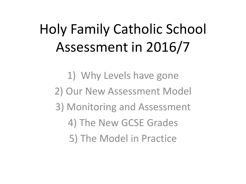### Holy Family Catholic School Assessment in 2016/7

1) Why Levels have gone 2) Our New Assessment Model 3) Monitoring and Assessment 4) The New GCSE Grades 5) The Model in Practice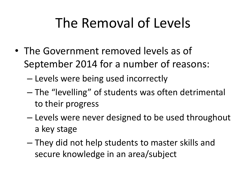### The Removal of Levels

- The Government removed levels as of September 2014 for a number of reasons:
	- Levels were being used incorrectly
	- The "levelling" of students was often detrimental to their progress
	- Levels were never designed to be used throughout a key stage
	- They did not help students to master skills and secure knowledge in an area/subject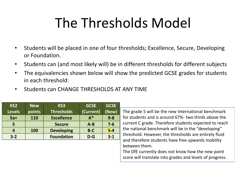### The Thresholds Model

- Students will be placed in one of four thresholds; Excellence, Secure, Developing or Foundation.
- Students can (and most likely will) be in different thresholds for different subjects
- The equivalencies shown below will show the predicted GCSE grades for students in each threshold:
- Students can CHANGE THRESHOLDS AT ANY TIME

| KS <sub>2</sub> | <b>New</b> | KS <sub>3</sub>   | <b>GCSE</b> |         |  |
|-----------------|------------|-------------------|-------------|---------|--|
| <b>Levels</b>   | points     | <b>Thresholds</b> | (Current)   | (New)   |  |
| $5a+$           | 110        | <b>Excellence</b> | $A^*$       | $9 - 8$ |  |
| 5               |            | <b>Secure</b>     | $A - B$     | $7 - 6$ |  |
| 4               | <b>100</b> | <b>Developing</b> | $B-C$       | $5-4$   |  |
| $3 - 2$         |            | <b>Foundation</b> | $D-G$       | $3 - 1$ |  |

The grade 5 will be the new international benchmark for students and is around 67%- two thirds above the current C grade. Therefore students expected to reach the national benchmark will be in the "developing" threshold. However, the thresholds are entirely fluid and therefore students have free upwards mobility between them.

The DfE currently does not know how the new point score will translate into grades and levels of progress.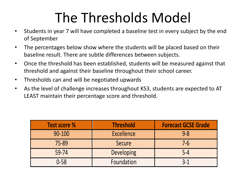### The Thresholds Model

- Students in year 7 will have completed a baseline test in every subject by the end of September
- The percentages below show where the students will be placed based on their baseline result. There are subtle differences between subjects.
- Once the threshold has been established, students will be measured against that threshold and against their baseline throughout their school career.
- Thresholds can and will be negotiated upwards
- As the level of challenge increases throughout KS3, students are expected to AT LEAST maintain their percentage score and threshold.

| <b>Test score %</b> | <b>Threshold</b> | <b>Forecast GCSE Grade</b> |  |  |  |
|---------------------|------------------|----------------------------|--|--|--|
| 90-100              | Excellence       | $9 - 8$                    |  |  |  |
| 75-89               | Secure           | $7 - 6$                    |  |  |  |
| 59-74               | Developing       | $5 - 4$                    |  |  |  |
| $0 - 58$            | Foundation       | $3 - 1$                    |  |  |  |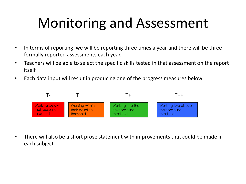### Monitoring and Assessment

- In terms of reporting, we will be reporting three times a year and there will be three formally reported assessments each year.
- Teachers will be able to select the specific skills tested in that assessment on the report itself.
- Each data input will result in producing one of the progress measures below:



• There will also be a short prose statement with improvements that could be made in each subject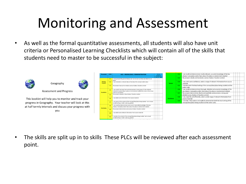### Monitoring and Assessment

• As well as the formal quantitative assessments, all students will also have unit criteria or Personalised Learning Checklists which will contain all of the skills that students need to master to be successful in the subject:





**Assessment and Progress** 

Geography

This booklet will help you to monitor and track your progress in Geography. Your teacher will look at this at half termly intervals and discuss your progress with you

| <b>Threshold</b>          | CODE      | <b>AO1 - KNOWLEDGE / DEMONSTRATION</b>                                                                                                                            | Tick to<br>evidence |                  | K12                                                                                                                   | I can recall and demonstrate mostly relevant, accurate knowledge of the key<br>ideals) / concept(s) and/or facts about the place or environment studied       |  |  |
|---------------------------|-----------|-------------------------------------------------------------------------------------------------------------------------------------------------------------------|---------------------|------------------|-----------------------------------------------------------------------------------------------------------------------|---------------------------------------------------------------------------------------------------------------------------------------------------------------|--|--|
|                           | K1        | I have grasped the general ideals), but I am not yet sure how and when to use                                                                                     | $789$ KS4           |                  | K13                                                                                                                   | My answers clearly communicate a sense of place / location context                                                                                            |  |  |
| Working<br><b>Towards</b> | K2        | them<br>I can remember a relevant idea or fact about the concept and/or place                                                                                     |                     | Secure           | K14                                                                                                                   | I can, with some confidence, select a range of relevant information from source<br>material                                                                   |  |  |
|                           | K3        | My answers have yet to include a sense of place / location context                                                                                                |                     |                  | K15                                                                                                                   | I mention both the local setting of the concept/idea/place being studied and the<br>wider scale.                                                              |  |  |
| <b>Foundation</b>         | <b>VA</b> | I can recall a few basic facts and demonstrate a basic grasp of a few relevant<br>ideals]/concept[s] about a place or environment studied and, more or less, know |                     |                  | K16                                                                                                                   | I can recall and demonstrate thorough, detailed and accurate knowledge of the<br>key ideals) / concept(s) and/or facts about the place or environment studied |  |  |
|                           |           | when to use it/them<br>My answers include an idea of place / location context                                                                                     |                     | K17              | My answers demonstrate clearly and explicitly communicate a strong and<br>detailed sense of place // location context |                                                                                                                                                               |  |  |
|                           | K6        | I can select some information from source material                                                                                                                |                     | <b>Staffence</b> | K18                                                                                                                   | I can, expertly and efficiently, select a wide range of relevant information from<br>source material                                                          |  |  |
|                           | <b>V7</b> | I am aware of the context of the concept/idea/place being studied - be it a local<br>(small) setting or wider scale (e.g. global)                                 |                     |                  | K19                                                                                                                   | I consider, fully explore and explicitly demonstrate both the local setting of the<br>concept/idea/place being studied and the wider scale.                   |  |  |
|                           | KR        | I can recall and demonstrate some sound, reasonable knowledge of the key<br>ideals) / concept(s) and/or facts about the place or environment studied              |                     |                  |                                                                                                                       |                                                                                                                                                               |  |  |
| <b>Developing</b>         |           | My answers demonstrate some sense of place / location context                                                                                                     |                     |                  |                                                                                                                       |                                                                                                                                                               |  |  |
|                           | K10       | I can select some relevant information from source material                                                                                                       |                     |                  |                                                                                                                       |                                                                                                                                                               |  |  |
|                           | 811       | I mention the context of the concept/idea/place being studied - be it a local<br>(small) setting or wider scale (e.g. global)                                     |                     |                  |                                                                                                                       |                                                                                                                                                               |  |  |

• The skills are split up in to skills These PLCs will be reviewed after each assessment point.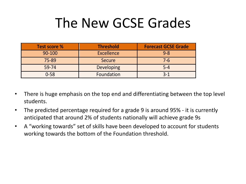### The New GCSE Grades

| <b>Test score %</b> | <b>Threshold</b>  | <b>Forecast GCSE Grade</b> |  |  |  |
|---------------------|-------------------|----------------------------|--|--|--|
| 90-100              | Excellence        | $9 - 8$                    |  |  |  |
| 75-89               | Secure            | $7 - 6$                    |  |  |  |
| 59-74               | <b>Developing</b> | $5 - 4$                    |  |  |  |
| $0 - 58$            | Foundation        | $3 - 1$                    |  |  |  |

- There is huge emphasis on the top end and differentiating between the top level students.
- The predicted percentage required for a grade 9 is around 95% it is currently anticipated that around 2% of students nationally will achieve grade 9s
- A "working towards" set of skills have been developed to account for students working towards the bottom of the Foundation threshold.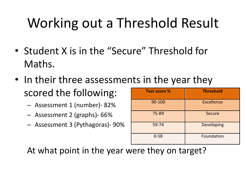### Working out a Threshold Result

- Student X is in the "Secure" Threshold for Maths.
- In their three assessments in the year they scored the following:
	- Assessment 1 (number)- 82%
	- Assessment 2 (graphs)- 66%
	- Assessment 3 (Pythagoras)- 90%

| <b>Test score %</b> | <b>Threshold</b>  |
|---------------------|-------------------|
| 90-100              | <b>Excellence</b> |
| 75-89               | <b>Secure</b>     |
| 59-74               | Developing        |
| $0 - 58$            | Foundation        |

At what point in the year were they on target?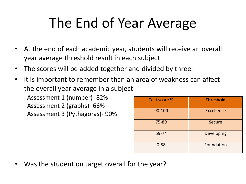### The End of Year Average

- At the end of each academic year, students will receive an overall year average threshold result in each subject
- The scores will be added together and divided by three.
- It is important to remember than an area of weakness can affect the overall year average in a subject

Assessment 1 (number)- 82% Assessment 2 (graphs)- 66% Assessment 3 (Pythagoras)- 90%

| <b>Test score %</b> | <b>Threshold</b>  |
|---------------------|-------------------|
| 90-100              | <b>Excellence</b> |
| 75-89               | <b>Secure</b>     |
| 59-74               | Developing        |
| $0 - 58$            | Foundation        |

Was the student on target overall for the year?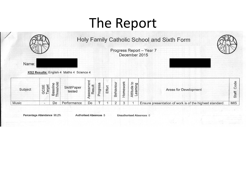### The Report



Percentage Attendance 98.2%

**Authorised Absences 5** 

**Unauthorised Absences 0**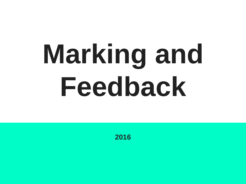# **Marking and Feedback**

**2016**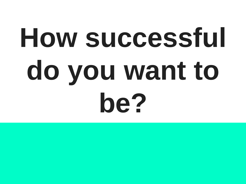# How successful **do you want to be?**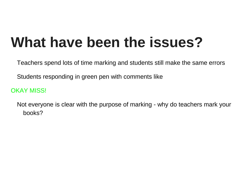### **What have been the issues?**

Teachers spend lots of time marking and students still make the same errors

Students responding in green pen with comments like

OKAY MISS!

Not everyone is clear with the purpose of marking - why do teachers mark your books?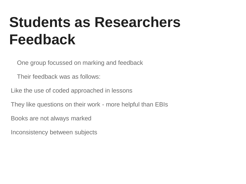### **Students as Researchers Feedback**

One group focussed on marking and feedback

Their feedback was as follows:

Like the use of coded approached in lessons

They like questions on their work - more helpful than EBIs

Books are not always marked

Inconsistency between subjects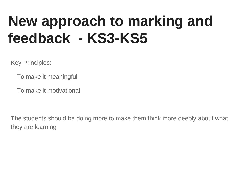### **New approach to marking and feedback - KS3-KS5**

Key Principles:

To make it meaningful

To make it motivational

The students should be doing more to make them think more deeply about what they are learning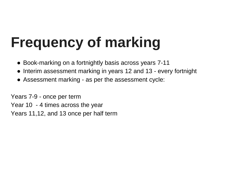# **Frequency of marking**

- Book-marking on a fortnightly basis across years 7-11
- Interim assessment marking in years 12 and 13 every fortnight
- Assessment marking as per the assessment cycle:

Years 7-9 - once per term Year 10 - 4 times across the year Years 11,12, and 13 once per half term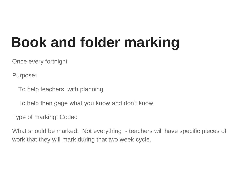### **Book and folder marking**

Once every fortnight

Purpose:

To help teachers with planning

To help then gage what you know and don't know

Type of marking: Coded

What should be marked: Not everything - teachers will have specific pieces of work that they will mark during that two week cycle.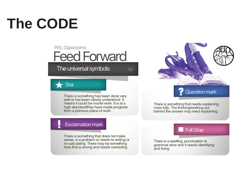# **The CODE**

### **PiXL Classrooms Feed Forward**

The universal symbols

### Star

There is something has been done very<br>well or has been clearly understood. It means it could be model work. It is at a high standard/they have made progress from a previous piece of work.

 $\searrow$ 

Question mark

There is something that needs explaining more fully. The thinking/working out behind the answer may need explaining.

#### Exclamation mark

There is something that does not make sense, is a problem or needs re-writing or re-calculating. There may be something here that is wrong and needs correcting.

#### **Full Stop**

There is a spelling, punctuation or grammar error and it needs identifying and fixing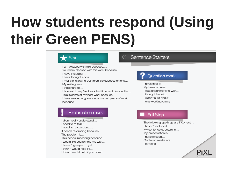### **How students respond (Using their Green PENS)**

#### Star

I am pleased with this because...

You were pleased with this work because I...

I have included...

I have thought about...

I met the following points on the success criteria... My writing was...

I tried hard to

I listened to my feedback last time and decided to... This is some of my best work because...

I have made progress since my last piece of work because...

#### **Sentence Starters**

#### Question mark

I have tried to My intention was... I was experimenting with... I thought I would.. I wasn't sure about... I was working on my...

#### **Exclamation mark**

I didn't really understand... I need to re-think... I need to re-calculate.... It needs re-drafting because... The problem is... This needs improving because... I would like you to help me with... I haven't grasped ... yet I think it would help if I... I think it would help if you could...

#### **Full Stop**

The following spellings are incorrect... I haven't included... My sentence structure is... My presentation is... I have missed... Quotation marks are... I forgot to...

PiX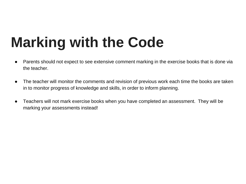## **Marking with the Code**

- Parents should not expect to see extensive comment marking in the exercise books that is done via the teacher.
- The teacher will monitor the comments and revision of previous work each time the books are taken in to monitor progress of knowledge and skills, in order to inform planning.
- Teachers will not mark exercise books when you have completed an assessment. They will be marking your assessments instead!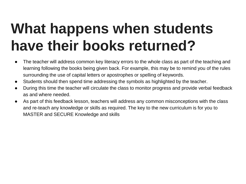### **What happens when students have their books returned?**

- The teacher will address common key literacy errors to the whole class as part of the teaching and learning following the books being given back. For example, this may be to remind you of the rules surrounding the use of capital letters or apostrophes or spelling of keywords.
- Students should then spend time addressing the symbols as highlighted by the teacher.
- During this time the teacher will circulate the class to monitor progress and provide verbal feedback as and where needed.
- As part of this feedback lesson, teachers will address any common misconceptions with the class and re-teach any knowledge or skills as required. The key to the new curriculum is for you to MASTER and SECURE Knowledge and skills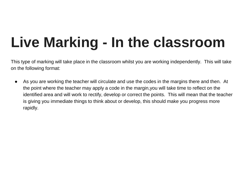# **Live Marking - In the classroom**

This type of marking will take place in the classroom whilst you are working independently. This will take on the following format:

● As you are working the teacher will circulate and use the codes in the margins there and then. At the point where the teacher may apply a code in the margin,you will take time to reflect on the identified area and will work to rectify, develop or correct the points. This will mean that the teacher is giving you immediate things to think about or develop, this should make you progress more rapidly.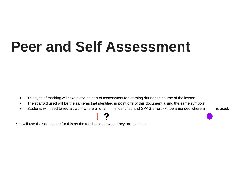### **Peer and Self Assessment**

- This type of marking will take place as part of assessment for learning during the course of the lesson.
- The scaffold used will be the same as that identified in point one of this document, using the same symbols.
- Students will need to redraft work where a or a is identified and SPAG errors will be amended where a is used.

### 2

You will use the same code for this as the teachers use when they are marking!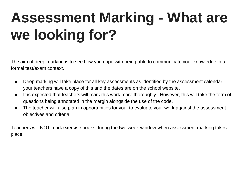# **Assessment Marking - What are we looking for?**

The aim of deep marking is to see how you cope with being able to communicate your knowledge in a formal test/exam context.

- Deep marking will take place for all key assessments as identified by the assessment calendar your teachers have a copy of this and the dates are on the school website.
- It is expected that teachers will mark this work more thoroughly. However, this will take the form of questions being annotated in the margin alongside the use of the code.
- The teacher will also plan in opportunities for you to evaluate your work against the assessment objectives and criteria.

Teachers will NOT mark exercise books during the two week window when assessment marking takes place.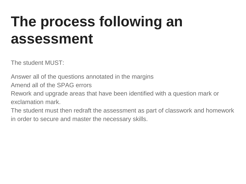### **The process following an assessment**

The student MUST:

Answer all of the questions annotated in the margins

Amend all of the SPAG errors

Rework and upgrade areas that have been identified with a question mark or exclamation mark.

The student must then redraft the assessment as part of classwork and homework in order to secure and master the necessary skills.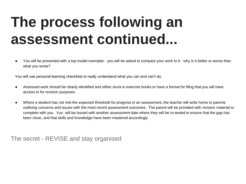### **The process following an assessment continued...**

You will be presented with a top model exemplar - you will be asked to compare your work to it - why is it better or worse than what you wrote?

You will use personal learning checklists to really understand what you can and can't do.

- Assessed work should be clearly identified and either stuck in exercise books or have a format for filing that you will have access to for revision purposes.
- Where a student has not met the expected threshold for progress in an assessment, the teacher will write home to parents outlining concerns and issues with the most recent assessment outcomes. The parent will be provided with revision material to complete with you. You will be issued with another assessment date where they will be re-tested to ensure that the gap has been close, and that skills and knowledge have been mastered accordingly.

The secret - REVISE and stay organised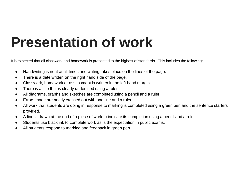### **Presentation of work**

It is expected that all classwork and homework is presented to the highest of standards. This includes the following:

- Handwriting is neat at all times and writing takes place on the lines of the page.
- There is a date written on the right hand side of the page.
- Classwork, homework or assessment is written in the left hand margin.
- There is a title that is clearly underlined using a ruler.
- All diagrams, graphs and sketches are completed using a pencil and a ruler.
- Errors made are neatly crossed out with one line and a ruler.
- All work that students are doing in response to marking is completed using a green pen and the sentence starters provided.
- A line is drawn at the end of a piece of work to indicate its completion using a pencil and a ruler.
- Students use black ink to complete work as is the expectation in public exams.
- All students respond to marking and feedback in green pen.